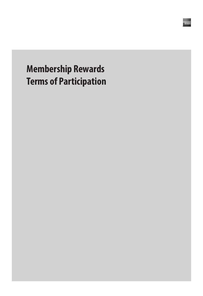# **Membership Rewards Terms of Participation**

ameran<br>Existe